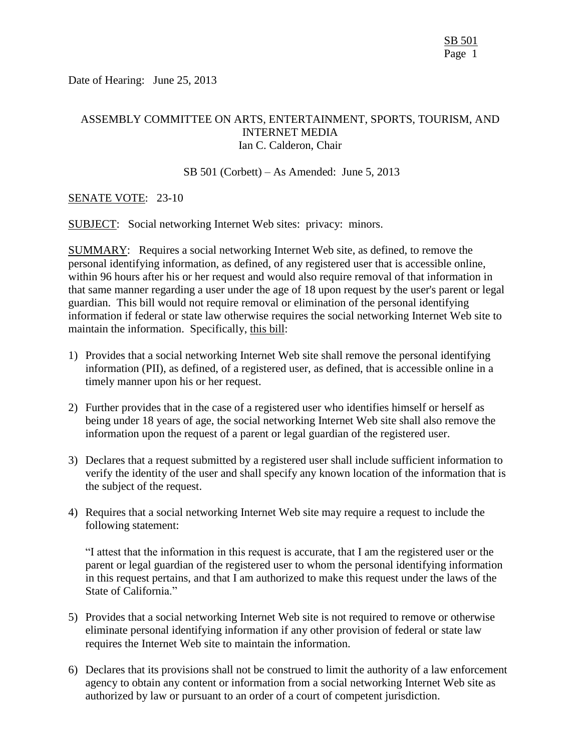Date of Hearing: June 25, 2013

# ASSEMBLY COMMITTEE ON ARTS, ENTERTAINMENT, SPORTS, TOURISM, AND INTERNET MEDIA Ian C. Calderon, Chair

#### SB 501 (Corbett) – As Amended: June 5, 2013

### SENATE VOTE: 23-10

SUBJECT: Social networking Internet Web sites: privacy: minors.

SUMMARY: Requires a social networking Internet Web site, as defined, to remove the personal identifying information, as defined, of any registered user that is accessible online, within 96 hours after his or her request and would also require removal of that information in that same manner regarding a user under the age of 18 upon request by the user's parent or legal guardian. This bill would not require removal or elimination of the personal identifying information if federal or state law otherwise requires the social networking Internet Web site to maintain the information. Specifically, this bill:

- 1) Provides that a social networking Internet Web site shall remove the personal identifying information (PII), as defined, of a registered user, as defined, that is accessible online in a timely manner upon his or her request.
- 2) Further provides that in the case of a registered user who identifies himself or herself as being under 18 years of age, the social networking Internet Web site shall also remove the information upon the request of a parent or legal guardian of the registered user.
- 3) Declares that a request submitted by a registered user shall include sufficient information to verify the identity of the user and shall specify any known location of the information that is the subject of the request.
- 4) Requires that a social networking Internet Web site may require a request to include the following statement:

"I attest that the information in this request is accurate, that I am the registered user or the parent or legal guardian of the registered user to whom the personal identifying information in this request pertains, and that I am authorized to make this request under the laws of the State of California."

- 5) Provides that a social networking Internet Web site is not required to remove or otherwise eliminate personal identifying information if any other provision of federal or state law requires the Internet Web site to maintain the information.
- 6) Declares that its provisions shall not be construed to limit the authority of a law enforcement agency to obtain any content or information from a social networking Internet Web site as authorized by law or pursuant to an order of a court of competent jurisdiction.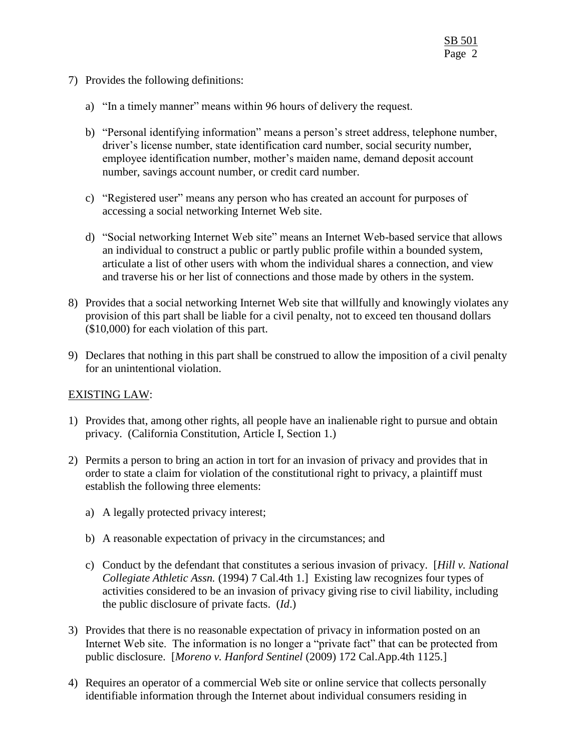- 7) Provides the following definitions:
	- a) "In a timely manner" means within 96 hours of delivery the request.
	- b) "Personal identifying information" means a person's street address, telephone number, driver's license number, state identification card number, social security number, employee identification number, mother's maiden name, demand deposit account number, savings account number, or credit card number.
	- c) "Registered user" means any person who has created an account for purposes of accessing a social networking Internet Web site.
	- d) "Social networking Internet Web site" means an Internet Web-based service that allows an individual to construct a public or partly public profile within a bounded system, articulate a list of other users with whom the individual shares a connection, and view and traverse his or her list of connections and those made by others in the system.
- 8) Provides that a social networking Internet Web site that willfully and knowingly violates any provision of this part shall be liable for a civil penalty, not to exceed ten thousand dollars (\$10,000) for each violation of this part.
- 9) Declares that nothing in this part shall be construed to allow the imposition of a civil penalty for an unintentional violation.

# EXISTING LAW:

- 1) Provides that, among other rights, all people have an inalienable right to pursue and obtain privacy. (California Constitution, Article I, Section 1.)
- 2) Permits a person to bring an action in tort for an invasion of privacy and provides that in order to state a claim for violation of the constitutional right to privacy, a plaintiff must establish the following three elements:
	- a) A legally protected privacy interest;
	- b) A reasonable expectation of privacy in the circumstances; and
	- c) Conduct by the defendant that constitutes a serious invasion of privacy. [*Hill v. National Collegiate Athletic Assn.* (1994) 7 Cal.4th 1.] Existing law recognizes four types of activities considered to be an invasion of privacy giving rise to civil liability, including the public disclosure of private facts. (*Id*.)
- 3) Provides that there is no reasonable expectation of privacy in information posted on an Internet Web site. The information is no longer a "private fact" that can be protected from public disclosure. [*Moreno v. Hanford Sentinel* (2009) 172 Cal.App.4th 1125.]
- 4) Requires an operator of a commercial Web site or online service that collects personally identifiable information through the Internet about individual consumers residing in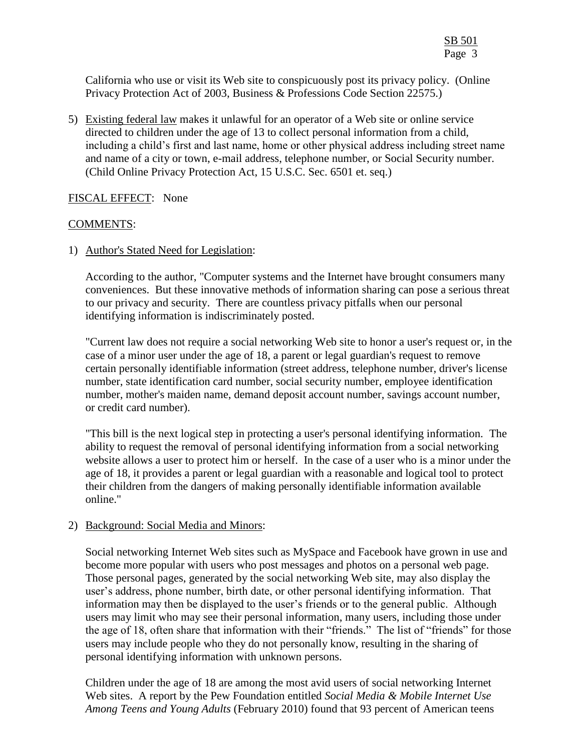California who use or visit its Web site to conspicuously post its privacy policy. (Online Privacy Protection Act of 2003, Business & Professions Code Section 22575.)

5) Existing federal law makes it unlawful for an operator of a Web site or online service directed to children under the age of 13 to collect personal information from a child, including a child's first and last name, home or other physical address including street name and name of a city or town, e-mail address, telephone number, or Social Security number. (Child Online Privacy Protection Act, 15 U.S.C. Sec. 6501 et. seq.)

# FISCAL EFFECT: None

# COMMENTS:

1) Author's Stated Need for Legislation:

According to the author, "Computer systems and the Internet have brought consumers many conveniences. But these innovative methods of information sharing can pose a serious threat to our privacy and security. There are countless privacy pitfalls when our personal identifying information is indiscriminately posted.

"Current law does not require a social networking Web site to honor a user's request or, in the case of a minor user under the age of 18, a parent or legal guardian's request to remove certain personally identifiable information (street address, telephone number, driver's license number, state identification card number, social security number, employee identification number, mother's maiden name, demand deposit account number, savings account number, or credit card number).

"This bill is the next logical step in protecting a user's personal identifying information. The ability to request the removal of personal identifying information from a social networking website allows a user to protect him or herself. In the case of a user who is a minor under the age of 18, it provides a parent or legal guardian with a reasonable and logical tool to protect their children from the dangers of making personally identifiable information available online."

# 2) Background: Social Media and Minors:

Social networking Internet Web sites such as MySpace and Facebook have grown in use and become more popular with users who post messages and photos on a personal web page. Those personal pages, generated by the social networking Web site, may also display the user's address, phone number, birth date, or other personal identifying information. That information may then be displayed to the user's friends or to the general public. Although users may limit who may see their personal information, many users, including those under the age of 18, often share that information with their "friends." The list of "friends" for those users may include people who they do not personally know, resulting in the sharing of personal identifying information with unknown persons.

Children under the age of 18 are among the most avid users of social networking Internet Web sites. A report by the Pew Foundation entitled *Social Media & Mobile Internet Use Among Teens and Young Adults* (February 2010) found that 93 percent of American teens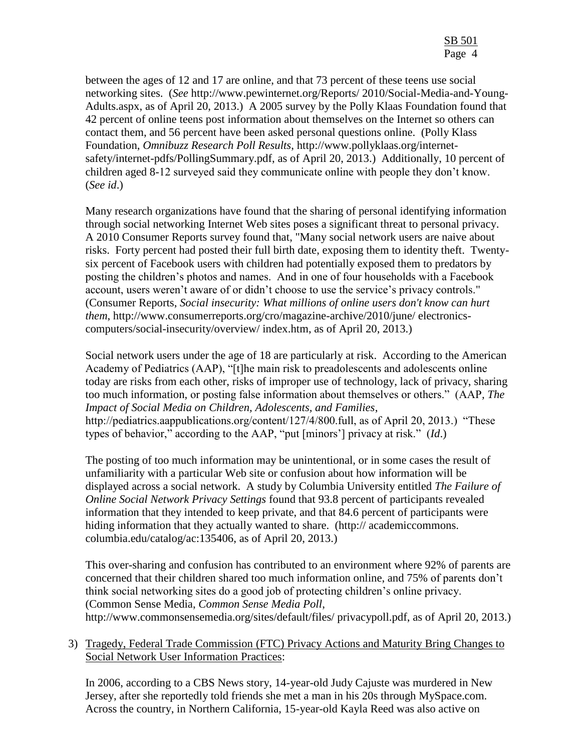between the ages of 12 and 17 are online, and that 73 percent of these teens use social networking sites. (*See* http://www.pewinternet.org/Reports/ 2010/Social-Media-and-Young-Adults.aspx, as of April 20, 2013.) A 2005 survey by the Polly Klaas Foundation found that 42 percent of online teens post information about themselves on the Internet so others can contact them, and 56 percent have been asked personal questions online. (Polly Klass Foundation, *Omnibuzz Research Poll Results*, http://www.pollyklaas.org/internetsafety/internet-pdfs/PollingSummary.pdf, as of April 20, 2013.) Additionally, 10 percent of children aged 8-12 surveyed said they communicate online with people they don't know. (*See id*.)

Many research organizations have found that the sharing of personal identifying information through social networking Internet Web sites poses a significant threat to personal privacy. A 2010 Consumer Reports survey found that, "Many social network users are naive about risks. Forty percent had posted their full birth date, exposing them to identity theft. Twentysix percent of Facebook users with children had potentially exposed them to predators by posting the children's photos and names. And in one of four households with a Facebook account, users weren't aware of or didn't choose to use the service's privacy controls." (Consumer Reports, *Social insecurity: What millions of online users don't know can hurt them*, http://www.consumerreports.org/cro/magazine-archive/2010/june/ electronicscomputers/social-insecurity/overview/ index.htm, as of April 20, 2013.)

Social network users under the age of 18 are particularly at risk. According to the American Academy of Pediatrics (AAP), "[t]he main risk to preadolescents and adolescents online today are risks from each other, risks of improper use of technology, lack of privacy, sharing too much information, or posting false information about themselves or others." (AAP*, The Impact of Social Media on Children, Adolescents, and Families*, http://pediatrics.aappublications.org/content/127/4/800.full, as of April 20, 2013.) "These types of behavior," according to the AAP, "put [minors'] privacy at risk." (*Id*.)

The posting of too much information may be unintentional, or in some cases the result of unfamiliarity with a particular Web site or confusion about how information will be displayed across a social network. A study by Columbia University entitled *The Failure of Online Social Network Privacy Settings* found that 93.8 percent of participants revealed information that they intended to keep private, and that 84.6 percent of participants were hiding information that they actually wanted to share. (http:// academiccommons. columbia.edu/catalog/ac:135406, as of April 20, 2013.)

This over-sharing and confusion has contributed to an environment where 92% of parents are concerned that their children shared too much information online, and 75% of parents don't think social networking sites do a good job of protecting children's online privacy. (Common Sense Media, *Common Sense Media Poll*, http://www.commonsensemedia.org/sites/default/files/ privacypoll.pdf, as of April 20, 2013.)

3) Tragedy, Federal Trade Commission (FTC) Privacy Actions and Maturity Bring Changes to Social Network User Information Practices:

In 2006, according to a CBS News story, 14-year-old Judy Cajuste was murdered in New Jersey, after she reportedly told friends she met a man in his 20s through MySpace.com. Across the country, in Northern California, 15-year-old Kayla Reed was also active on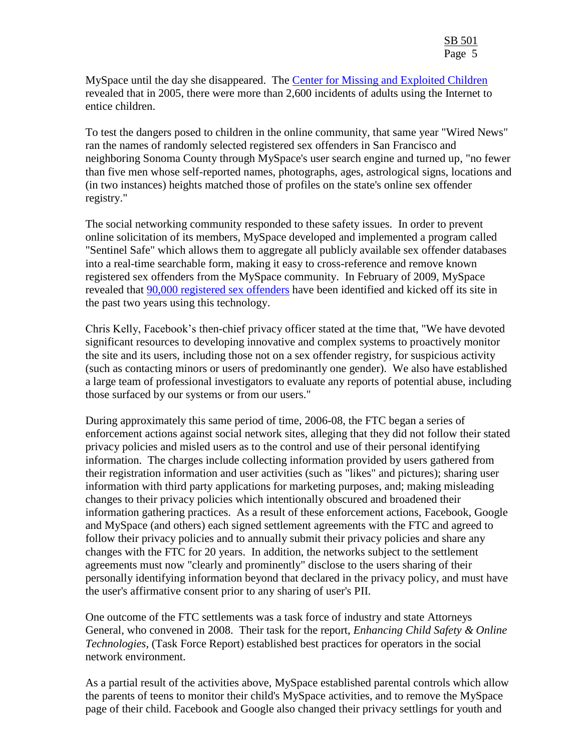MySpace until the day she disappeared. The [Center for Missing and Exploited Children](http://www.missingkids.com/) revealed that in 2005, there were more than 2,600 incidents of adults using the Internet to entice children.

To test the dangers posed to children in the online community, that same year "Wired News" ran the names of randomly selected registered sex offenders in San Francisco and neighboring Sonoma County through MySpace's user search engine and turned up, "no fewer than five men whose self-reported names, photographs, ages, astrological signs, locations and (in two instances) heights matched those of profiles on the state's online sex offender registry."

The social networking community responded to these safety issues. In order to prevent online solicitation of its members, MySpace developed and implemented a program called "Sentinel Safe" which allows them to aggregate all publicly available sex offender databases into a real-time searchable form, making it easy to cross-reference and remove known registered sex offenders from the MySpace community. In February of 2009, MySpace revealed that [90,000 registered sex offenders](http://www.techcrunch.com/2009/02/03/responding-to-subpoena-myspace-says-90000-sex-offenders-blocked-from-site/) have been identified and kicked off its site in the past two years using this technology.

Chris Kelly, Facebook's then-chief privacy officer stated at the time that, "We have devoted significant resources to developing innovative and complex systems to proactively monitor the site and its users, including those not on a sex offender registry, for suspicious activity (such as contacting minors or users of predominantly one gender). We also have established a large team of professional investigators to evaluate any reports of potential abuse, including those surfaced by our systems or from our users."

During approximately this same period of time, 2006-08, the FTC began a series of enforcement actions against social network sites, alleging that they did not follow their stated privacy policies and misled users as to the control and use of their personal identifying information. The charges include collecting information provided by users gathered from their registration information and user activities (such as "likes" and pictures); sharing user information with third party applications for marketing purposes, and; making misleading changes to their privacy policies which intentionally obscured and broadened their information gathering practices. As a result of these enforcement actions, Facebook, Google and MySpace (and others) each signed settlement agreements with the FTC and agreed to follow their privacy policies and to annually submit their privacy policies and share any changes with the FTC for 20 years. In addition, the networks subject to the settlement agreements must now "clearly and prominently" disclose to the users sharing of their personally identifying information beyond that declared in the privacy policy, and must have the user's affirmative consent prior to any sharing of user's PII.

One outcome of the FTC settlements was a task force of industry and state Attorneys General, who convened in 2008. Their task for the report, *Enhancing Child Safety & Online Technologies*, (Task Force Report) established best practices for operators in the social network environment.

As a partial result of the activities above, MySpace established parental controls which allow the parents of teens to monitor their child's MySpace activities, and to remove the MySpace page of their child. Facebook and Google also changed their privacy settlings for youth and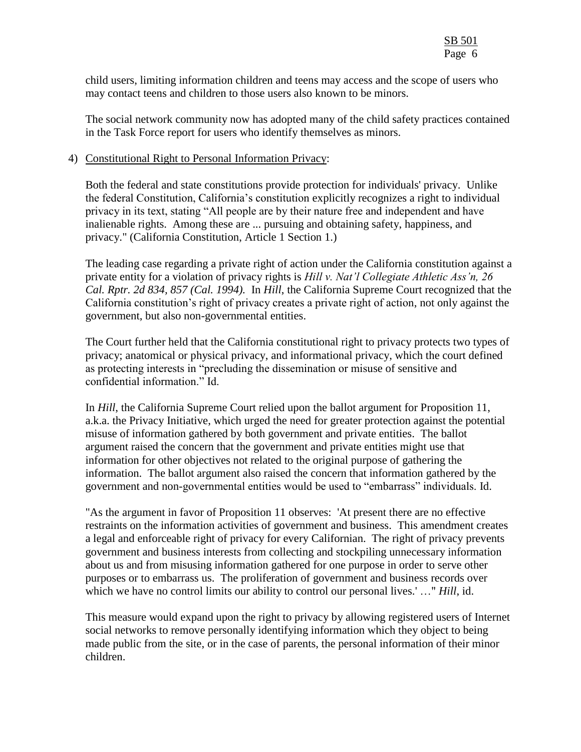child users, limiting information children and teens may access and the scope of users who may contact teens and children to those users also known to be minors.

The social network community now has adopted many of the child safety practices contained in the Task Force report for users who identify themselves as minors.

#### 4) Constitutional Right to Personal Information Privacy:

Both the federal and state constitutions provide protection for individuals' privacy. Unlike the federal Constitution, California's constitution explicitly recognizes a right to individual privacy in its text, stating "All people are by their nature free and independent and have inalienable rights. Among these are ... pursuing and obtaining safety, happiness, and privacy." (California Constitution, Article 1 Section 1.)

The leading case regarding a private right of action under the California constitution against a private entity for a violation of privacy rights is *Hill v. Nat'l Collegiate Athletic Ass'n, 26 Cal. Rptr. 2d 834, 857 (Cal. 1994).* In *Hill*, the California Supreme Court recognized that the California constitution's right of privacy creates a private right of action, not only against the government, but also non-governmental entities.

The Court further held that the California constitutional right to privacy protects two types of privacy; anatomical or physical privacy, and informational privacy, which the court defined as protecting interests in "precluding the dissemination or misuse of sensitive and confidential information." Id.

In *Hill*, the California Supreme Court relied upon the ballot argument for Proposition 11, a.k.a. the Privacy Initiative, which urged the need for greater protection against the potential misuse of information gathered by both government and private entities. The ballot argument raised the concern that the government and private entities might use that information for other objectives not related to the original purpose of gathering the information. The ballot argument also raised the concern that information gathered by the government and non-governmental entities would be used to "embarrass" individuals. Id.

"As the argument in favor of Proposition 11 observes: 'At present there are no effective restraints on the information activities of government and business. This amendment creates a legal and enforceable right of privacy for every Californian. The right of privacy prevents government and business interests from collecting and stockpiling unnecessary information about us and from misusing information gathered for one purpose in order to serve other purposes or to embarrass us. The proliferation of government and business records over which we have no control limits our ability to control our personal lives.' ..." *Hill*, id.

This measure would expand upon the right to privacy by allowing registered users of Internet social networks to remove personally identifying information which they object to being made public from the site, or in the case of parents, the personal information of their minor children.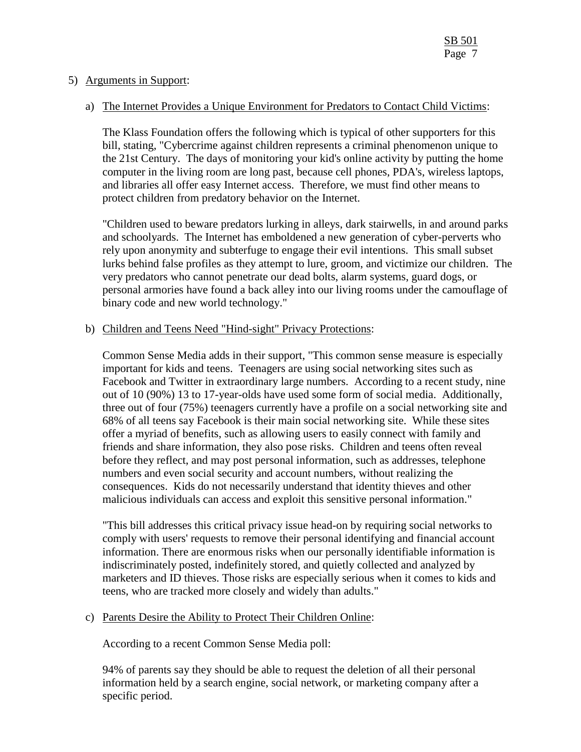#### 5) Arguments in Support:

#### a) The Internet Provides a Unique Environment for Predators to Contact Child Victims:

The Klass Foundation offers the following which is typical of other supporters for this bill, stating, "Cybercrime against children represents a criminal phenomenon unique to the 21st Century. The days of monitoring your kid's online activity by putting the home computer in the living room are long past, because cell phones, PDA's, wireless laptops, and libraries all offer easy Internet access. Therefore, we must find other means to protect children from predatory behavior on the Internet.

"Children used to beware predators lurking in alleys, dark stairwells, in and around parks and schoolyards. The Internet has emboldened a new generation of cyber-perverts who rely upon anonymity and subterfuge to engage their evil intentions. This small subset lurks behind false profiles as they attempt to lure, groom, and victimize our children. The very predators who cannot penetrate our dead bolts, alarm systems, guard dogs, or personal armories have found a back alley into our living rooms under the camouflage of binary code and new world technology."

### b) Children and Teens Need "Hind-sight" Privacy Protections:

Common Sense Media adds in their support, "This common sense measure is especially important for kids and teens. Teenagers are using social networking sites such as Facebook and Twitter in extraordinary large numbers. According to a recent study, nine out of 10 (90%) 13 to 17-year-olds have used some form of social media. Additionally, three out of four (75%) teenagers currently have a profile on a social networking site and 68% of all teens say Facebook is their main social networking site. While these sites offer a myriad of benefits, such as allowing users to easily connect with family and friends and share information, they also pose risks. Children and teens often reveal before they reflect, and may post personal information, such as addresses, telephone numbers and even social security and account numbers, without realizing the consequences. Kids do not necessarily understand that identity thieves and other malicious individuals can access and exploit this sensitive personal information."

"This bill addresses this critical privacy issue head-on by requiring social networks to comply with users' requests to remove their personal identifying and financial account information. There are enormous risks when our personally identifiable information is indiscriminately posted, indefinitely stored, and quietly collected and analyzed by marketers and ID thieves. Those risks are especially serious when it comes to kids and teens, who are tracked more closely and widely than adults."

#### c) Parents Desire the Ability to Protect Their Children Online:

According to a recent Common Sense Media poll:

94% of parents say they should be able to request the deletion of all their personal information held by a search engine, social network, or marketing company after a specific period.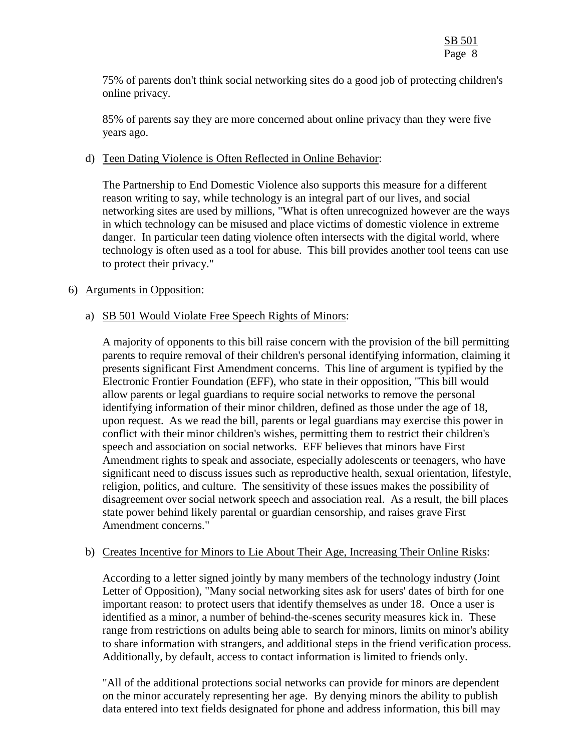75% of parents don't think social networking sites do a good job of protecting children's online privacy.

85% of parents say they are more concerned about online privacy than they were five years ago.

#### d) Teen Dating Violence is Often Reflected in Online Behavior:

The Partnership to End Domestic Violence also supports this measure for a different reason writing to say, while technology is an integral part of our lives, and social networking sites are used by millions, "What is often unrecognized however are the ways in which technology can be misused and place victims of domestic violence in extreme danger. In particular teen dating violence often intersects with the digital world, where technology is often used as a tool for abuse. This bill provides another tool teens can use to protect their privacy."

# 6) Arguments in Opposition:

# a) SB 501 Would Violate Free Speech Rights of Minors:

A majority of opponents to this bill raise concern with the provision of the bill permitting parents to require removal of their children's personal identifying information, claiming it presents significant First Amendment concerns. This line of argument is typified by the Electronic Frontier Foundation (EFF), who state in their opposition, "This bill would allow parents or legal guardians to require social networks to remove the personal identifying information of their minor children, defined as those under the age of 18, upon request. As we read the bill, parents or legal guardians may exercise this power in conflict with their minor children's wishes, permitting them to restrict their children's speech and association on social networks. EFF believes that minors have First Amendment rights to speak and associate, especially adolescents or teenagers, who have significant need to discuss issues such as reproductive health, sexual orientation, lifestyle, religion, politics, and culture. The sensitivity of these issues makes the possibility of disagreement over social network speech and association real. As a result, the bill places state power behind likely parental or guardian censorship, and raises grave First Amendment concerns."

# b) Creates Incentive for Minors to Lie About Their Age, Increasing Their Online Risks:

According to a letter signed jointly by many members of the technology industry (Joint Letter of Opposition), "Many social networking sites ask for users' dates of birth for one important reason: to protect users that identify themselves as under 18. Once a user is identified as a minor, a number of behind-the-scenes security measures kick in. These range from restrictions on adults being able to search for minors, limits on minor's ability to share information with strangers, and additional steps in the friend verification process. Additionally, by default, access to contact information is limited to friends only.

"All of the additional protections social networks can provide for minors are dependent on the minor accurately representing her age. By denying minors the ability to publish data entered into text fields designated for phone and address information, this bill may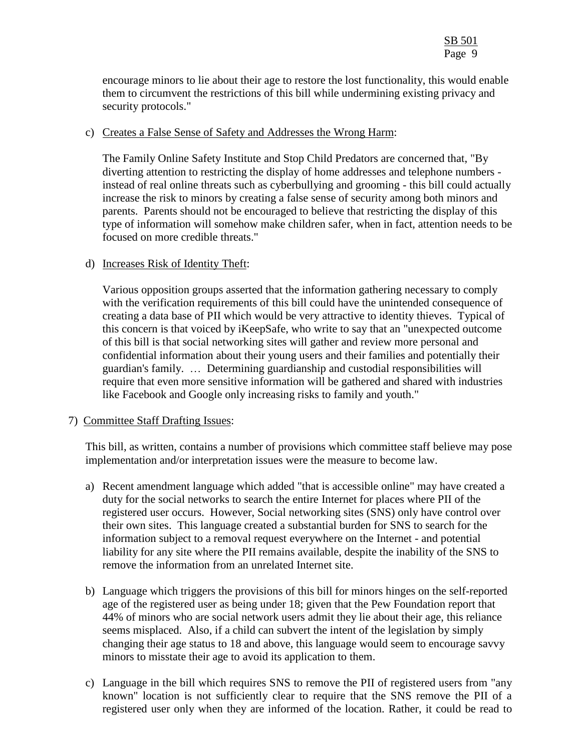encourage minors to lie about their age to restore the lost functionality, this would enable them to circumvent the restrictions of this bill while undermining existing privacy and security protocols."

#### c) Creates a False Sense of Safety and Addresses the Wrong Harm:

The Family Online Safety Institute and Stop Child Predators are concerned that, "By diverting attention to restricting the display of home addresses and telephone numbers instead of real online threats such as cyberbullying and grooming - this bill could actually increase the risk to minors by creating a false sense of security among both minors and parents. Parents should not be encouraged to believe that restricting the display of this type of information will somehow make children safer, when in fact, attention needs to be focused on more credible threats."

#### d) Increases Risk of Identity Theft:

Various opposition groups asserted that the information gathering necessary to comply with the verification requirements of this bill could have the unintended consequence of creating a data base of PII which would be very attractive to identity thieves. Typical of this concern is that voiced by iKeepSafe, who write to say that an "unexpected outcome of this bill is that social networking sites will gather and review more personal and confidential information about their young users and their families and potentially their guardian's family. … Determining guardianship and custodial responsibilities will require that even more sensitive information will be gathered and shared with industries like Facebook and Google only increasing risks to family and youth."

#### 7) Committee Staff Drafting Issues:

This bill, as written, contains a number of provisions which committee staff believe may pose implementation and/or interpretation issues were the measure to become law.

- a) Recent amendment language which added "that is accessible online" may have created a duty for the social networks to search the entire Internet for places where PII of the registered user occurs. However, Social networking sites (SNS) only have control over their own sites. This language created a substantial burden for SNS to search for the information subject to a removal request everywhere on the Internet - and potential liability for any site where the PII remains available, despite the inability of the SNS to remove the information from an unrelated Internet site.
- b) Language which triggers the provisions of this bill for minors hinges on the self-reported age of the registered user as being under 18; given that the Pew Foundation report that 44% of minors who are social network users admit they lie about their age, this reliance seems misplaced. Also, if a child can subvert the intent of the legislation by simply changing their age status to 18 and above, this language would seem to encourage savvy minors to misstate their age to avoid its application to them.
- c) Language in the bill which requires SNS to remove the PII of registered users from "any known" location is not sufficiently clear to require that the SNS remove the PII of a registered user only when they are informed of the location. Rather, it could be read to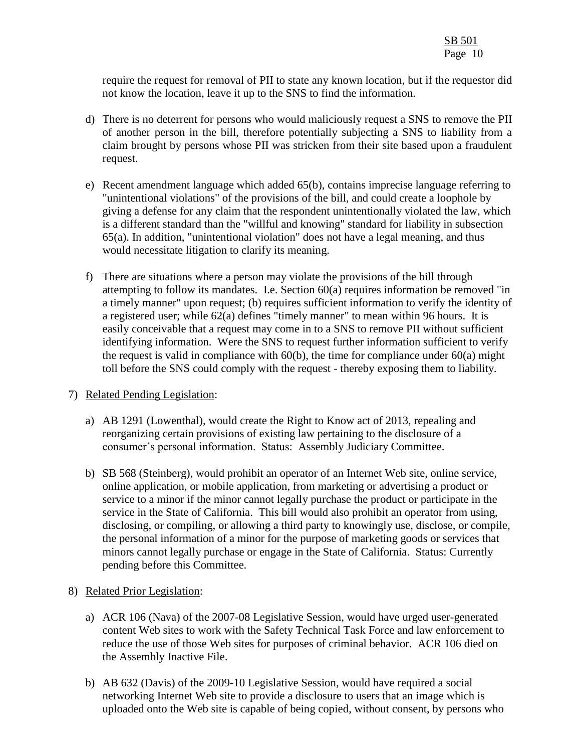require the request for removal of PII to state any known location, but if the requestor did not know the location, leave it up to the SNS to find the information.

- d) There is no deterrent for persons who would maliciously request a SNS to remove the PII of another person in the bill, therefore potentially subjecting a SNS to liability from a claim brought by persons whose PII was stricken from their site based upon a fraudulent request.
- e) Recent amendment language which added 65(b), contains imprecise language referring to "unintentional violations" of the provisions of the bill, and could create a loophole by giving a defense for any claim that the respondent unintentionally violated the law, which is a different standard than the "willful and knowing" standard for liability in subsection 65(a). In addition, "unintentional violation" does not have a legal meaning, and thus would necessitate litigation to clarify its meaning.
- f) There are situations where a person may violate the provisions of the bill through attempting to follow its mandates. I.e. Section 60(a) requires information be removed "in a timely manner" upon request; (b) requires sufficient information to verify the identity of a registered user; while 62(a) defines "timely manner" to mean within 96 hours. It is easily conceivable that a request may come in to a SNS to remove PII without sufficient identifying information. Were the SNS to request further information sufficient to verify the request is valid in compliance with  $60(b)$ , the time for compliance under  $60(a)$  might toll before the SNS could comply with the request - thereby exposing them to liability.

# 7) Related Pending Legislation:

- a) AB 1291 (Lowenthal), would create the Right to Know act of 2013, repealing and reorganizing certain provisions of existing law pertaining to the disclosure of a consumer's personal information. Status: Assembly Judiciary Committee.
- b) SB 568 (Steinberg), would prohibit an operator of an Internet Web site, online service, online application, or mobile application, from marketing or advertising a product or service to a minor if the minor cannot legally purchase the product or participate in the service in the State of California. This bill would also prohibit an operator from using, disclosing, or compiling, or allowing a third party to knowingly use, disclose, or compile, the personal information of a minor for the purpose of marketing goods or services that minors cannot legally purchase or engage in the State of California. Status: Currently pending before this Committee.

# 8) Related Prior Legislation:

- a) ACR 106 (Nava) of the 2007-08 Legislative Session, would have urged user-generated content Web sites to work with the Safety Technical Task Force and law enforcement to reduce the use of those Web sites for purposes of criminal behavior. ACR 106 died on the Assembly Inactive File.
- b) AB 632 (Davis) of the 2009-10 Legislative Session, would have required a social networking Internet Web site to provide a disclosure to users that an image which is uploaded onto the Web site is capable of being copied, without consent, by persons who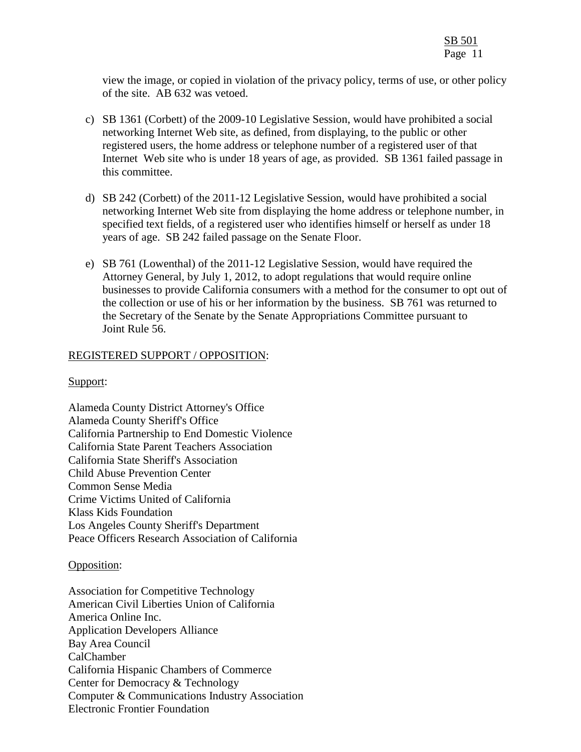view the image, or copied in violation of the privacy policy, terms of use, or other policy of the site. AB 632 was vetoed.

- c) SB 1361 (Corbett) of the 2009-10 Legislative Session, would have prohibited a social networking Internet Web site, as defined, from displaying, to the public or other registered users, the home address or telephone number of a registered user of that Internet Web site who is under 18 years of age, as provided. SB 1361 failed passage in this committee.
- d) SB 242 (Corbett) of the 2011-12 Legislative Session, would have prohibited a social networking Internet Web site from displaying the home address or telephone number, in specified text fields, of a registered user who identifies himself or herself as under 18 years of age. SB 242 failed passage on the Senate Floor.
- e) SB 761 (Lowenthal) of the 2011-12 Legislative Session, would have required the Attorney General, by July 1, 2012, to adopt regulations that would require online businesses to provide California consumers with a method for the consumer to opt out of the collection or use of his or her information by the business. SB 761 was returned to the Secretary of the Senate by the Senate Appropriations Committee pursuant to Joint Rule 56.

# REGISTERED SUPPORT / OPPOSITION:

#### Support:

Alameda County District Attorney's Office Alameda County Sheriff's Office California Partnership to End Domestic Violence California State Parent Teachers Association California State Sheriff's Association Child Abuse Prevention Center Common Sense Media Crime Victims United of California Klass Kids Foundation Los Angeles County Sheriff's Department Peace Officers Research Association of California

#### Opposition:

Association for Competitive Technology American Civil Liberties Union of California America Online Inc. Application Developers Alliance Bay Area Council CalChamber California Hispanic Chambers of Commerce Center for Democracy & Technology Computer & Communications Industry Association Electronic Frontier Foundation